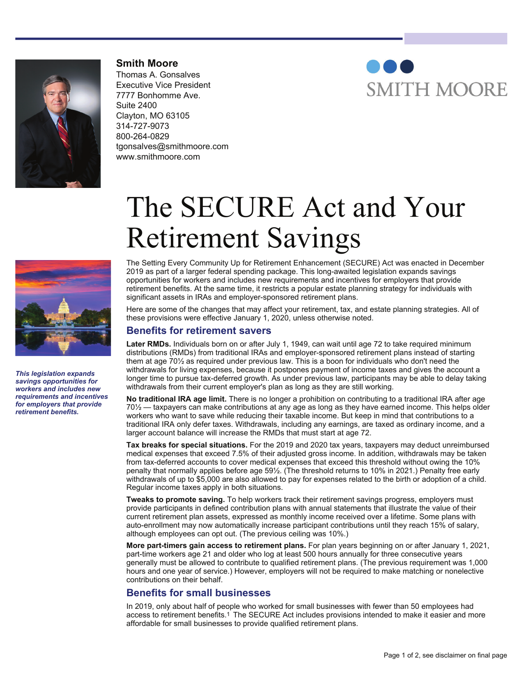

**Smith Moore** Thomas A. Gonsalves Executive Vice President 7777 Bonhomme Ave. Suite 2400 Clayton, MO 63105 314-727-9073 800-264-0829 tgonsalves@smithmoore.com www.smithmoore.com





*This legislation expands savings opportunities for workers and includes new requirements and incentives for employers that provide retirement benefits.*

# The SECURE Act and Your Retirement Savings

The Setting Every Community Up for Retirement Enhancement (SECURE) Act was enacted in December 2019 as part of a larger federal spending package. This long-awaited legislation expands savings opportunities for workers and includes new requirements and incentives for employers that provide retirement benefits. At the same time, it restricts a popular estate planning strategy for individuals with significant assets in IRAs and employer-sponsored retirement plans.

Here are some of the changes that may affect your retirement, tax, and estate planning strategies. All of these provisions were effective January 1, 2020, unless otherwise noted.

## **Benefits for retirement savers**

**Later RMDs.** Individuals born on or after July 1, 1949, can wait until age 72 to take required minimum distributions (RMDs) from traditional IRAs and employer-sponsored retirement plans instead of starting them at age 70½ as required under previous law. This is a boon for individuals who don't need the withdrawals for living expenses, because it postpones payment of income taxes and gives the account a longer time to pursue tax-deferred growth. As under previous law, participants may be able to delay taking withdrawals from their current employer's plan as long as they are still working.

**No traditional IRA age limit.** There is no longer a prohibition on contributing to a traditional IRA after age 70½ — taxpayers can make contributions at any age as long as they have earned income. This helps older workers who want to save while reducing their taxable income. But keep in mind that contributions to a traditional IRA only defer taxes. Withdrawals, including any earnings, are taxed as ordinary income, and a larger account balance will increase the RMDs that must start at age 72.

**Tax breaks for special situations.** For the 2019 and 2020 tax years, taxpayers may deduct unreimbursed medical expenses that exceed 7.5% of their adjusted gross income. In addition, withdrawals may be taken from tax-deferred accounts to cover medical expenses that exceed this threshold without owing the 10% penalty that normally applies before age 59½. (The threshold returns to 10% in 2021.) Penalty free early withdrawals of up to \$5,000 are also allowed to pay for expenses related to the birth or adoption of a child. Regular income taxes apply in both situations.

**Tweaks to promote saving.** To help workers track their retirement savings progress, employers must provide participants in defined contribution plans with annual statements that illustrate the value of their current retirement plan assets, expressed as monthly income received over a lifetime. Some plans with auto-enrollment may now automatically increase participant contributions until they reach 15% of salary, although employees can opt out. (The previous ceiling was 10%.)

**More part-timers gain access to retirement plans.** For plan years beginning on or after January 1, 2021, part-time workers age 21 and older who log at least 500 hours annually for three consecutive years generally must be allowed to contribute to qualified retirement plans. (The previous requirement was 1,000 hours and one year of service.) However, employers will not be required to make matching or nonelective contributions on their behalf.

### **Benefits for small businesses**

In 2019, only about half of people who worked for small businesses with fewer than 50 employees had access to retirement benefits.1 The SECURE Act includes provisions intended to make it easier and more affordable for small businesses to provide qualified retirement plans.